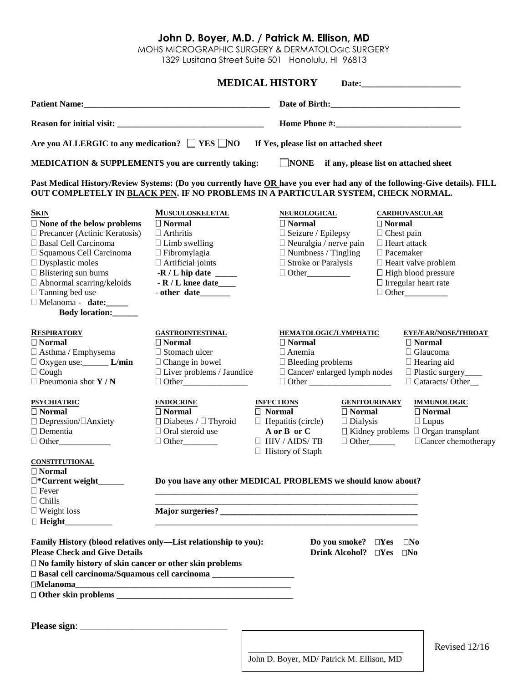## **John D. Boyer, M.D. / Patrick M. Ellison, MD**

MOHS MICROGRAPHIC SURGERY & DERMATOLOGIC SURGERY

1329 Lusitana Street Suite 501 Honolulu, HI 96813

|                                                                                                                                                                                                                                                                                                               |                                                                                                                                                  | <b>MEDICAL HISTORY</b>                                                                                                                     |                                                                                                                                                                                          |  |  |
|---------------------------------------------------------------------------------------------------------------------------------------------------------------------------------------------------------------------------------------------------------------------------------------------------------------|--------------------------------------------------------------------------------------------------------------------------------------------------|--------------------------------------------------------------------------------------------------------------------------------------------|------------------------------------------------------------------------------------------------------------------------------------------------------------------------------------------|--|--|
|                                                                                                                                                                                                                                                                                                               |                                                                                                                                                  |                                                                                                                                            |                                                                                                                                                                                          |  |  |
|                                                                                                                                                                                                                                                                                                               |                                                                                                                                                  |                                                                                                                                            |                                                                                                                                                                                          |  |  |
| Are you ALLERGIC to any medication? $\Box$ YES $\Box$ NO                                                                                                                                                                                                                                                      |                                                                                                                                                  | If Yes, please list on attached sheet                                                                                                      |                                                                                                                                                                                          |  |  |
| <b>MEDICATION &amp; SUPPLEMENTS you are currently taking:</b>                                                                                                                                                                                                                                                 |                                                                                                                                                  | $\Box$ NONE if any, please list on attached sheet                                                                                          |                                                                                                                                                                                          |  |  |
| OUT COMPLETELY IN BLACK PEN. IF NO PROBLEMS IN A PARTICULAR SYSTEM, CHECK NORMAL.                                                                                                                                                                                                                             |                                                                                                                                                  |                                                                                                                                            | Past Medical History/Review Systems: (Do you currently have OR have you ever had any of the following-Give details). FILL                                                                |  |  |
| <b>SKIN</b>                                                                                                                                                                                                                                                                                                   | <b>MUSCULOSKELETAL</b>                                                                                                                           | <b>NEUROLOGICAL</b>                                                                                                                        | <b>CARDIOVASCULAR</b>                                                                                                                                                                    |  |  |
| $\square$ None of the below problems<br>$\Box$ Precancer (Actinic Keratosis)<br>□ Basal Cell Carcinoma<br>$\Box$ Squamous Cell Carcinoma<br>$\Box$ Dysplastic moles<br>$\Box$ Blistering sun burns<br>$\Box$ Abnormal scarring/keloids<br>$\Box$ Tanning bed use<br>Melanoma - date:<br>Body location:        | $\Box$ Normal<br>$\Box$ Arthritis<br>$\Box$ Limb swelling<br>$\Box$ Fibromylagia<br>$\Box$ Artificial joints<br>$-R/L$ knee date<br>- other date | $\Box$ Normal<br>$\Box$ Seizure / Epilepsy<br>$\Box$ Neuralgia / nerve pain<br>$\Box$ Numbness / Tingling<br>$\Box$ Stroke or Paralysis    | $\Box$ Normal<br>$\Box$ Chest pain<br>$\Box$ Heart attack<br>$\Box$ Pacemaker<br>$\Box$ Heart valve problem<br>$\Box$ High blood pressure<br>$\Box$ Irregular heart rate<br>$\Box$ Other |  |  |
| <b>RESPIRATORY</b><br>$\Box$ Normal<br>$\Box$ Asthma / Emphysema<br>$\Box$ Oxygen use: _________ L/min<br>$\Box$ Cough<br>$\Box$ Pneumonia shot Y / N                                                                                                                                                         | <b>GASTROINTESTINAL</b><br>$\Box$ Normal<br>$\Box$ Stomach ulcer<br>$\Box$ Change in bowel<br>$\Box$ Liver problems / Jaundice                   | HEMATOLOGIC/LYMPHATIC<br>$\Box$ Normal<br>$\Box$ Anemia<br>$\Box$ Bleeding problems<br>□ Cancer/ enlarged lymph nodes                      | EYE/EAR/NOSE/THROAT<br>$\Box$ Normal<br>□ Glaucoma<br>$\Box$ Hearing aid<br>□ Plastic surgery_____<br>Cataracts/Other                                                                    |  |  |
| <b>PSYCHIATRIC</b><br>$\Box$ Normal<br>□ Depression/□Anxiety<br>$\square$ Dementia                                                                                                                                                                                                                            | <b>ENDOCRINE</b><br>$\Box$ Normal<br>$\Box$ Diabetes / $\Box$ Thyroid<br>$\Box$ Oral steroid use<br>$\Box$ Other                                 | <b>INFECTIONS</b><br>$\Box$ Normal<br>$\Box$ Normal<br>$\Box$ Hepatitis (circle)<br>$\Box$ Dialysis<br>A or B or C<br>$\Box$ HIV / AIDS/TB | <b>GENITOURINARY</b><br><b>IMMUNOLOGIC</b><br>$\Box$ Normal<br>$\Box$ Lupus<br>$\Box$ Kidney problems $\Box$ Organ transplant<br>$\Box$ Cancer chemotherapy<br>$\Box$ Other              |  |  |
| <b>CONSTITUTIONAL</b><br>$\Box$ Normal<br>$\square$ *Current weight $\rquare$<br>$\Box$ Fever                                                                                                                                                                                                                 | $\Box$ History of Staph<br>Do you have any other MEDICAL PROBLEMS we should know about?                                                          |                                                                                                                                            |                                                                                                                                                                                          |  |  |
| $\Box$ Chills<br>$\Box$ Weight loss                                                                                                                                                                                                                                                                           |                                                                                                                                                  |                                                                                                                                            |                                                                                                                                                                                          |  |  |
| Family History (blood relatives only—List relationship to you):<br><b>Please Check and Give Details</b><br>□ No family history of skin cancer or other skin problems<br>□ Basal cell carcinoma/Squamous cell carcinoma _________________________________<br>$\Box \textbf{Melanoma} \underline{\hspace{2cm}}$ |                                                                                                                                                  | Do you smoke? $\square$ Yes<br>Drink Alcohol? DYes                                                                                         | $\square$ No<br>$\square$ No                                                                                                                                                             |  |  |
|                                                                                                                                                                                                                                                                                                               |                                                                                                                                                  |                                                                                                                                            |                                                                                                                                                                                          |  |  |

Revised 12/16